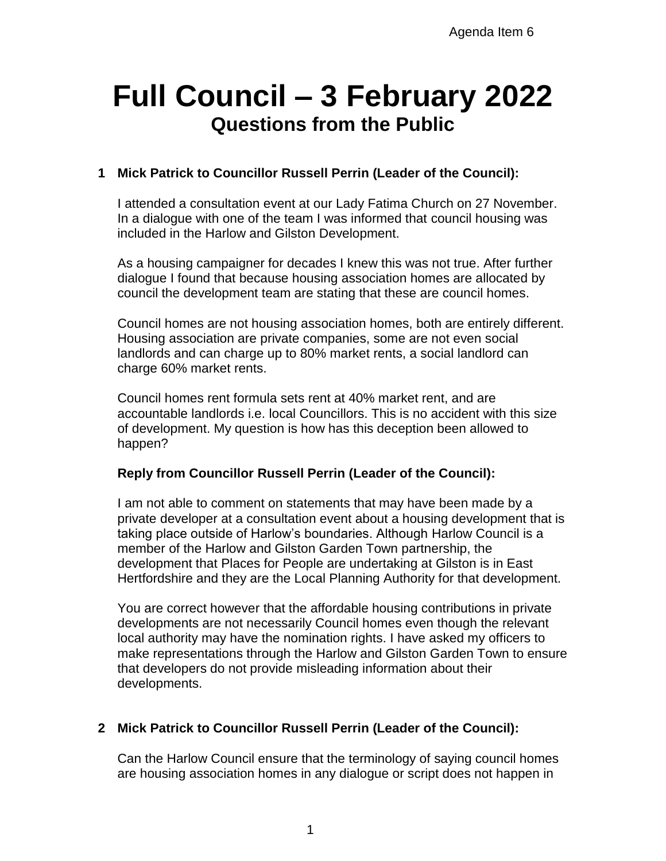# **Full Council – 3 February 2022 Questions from the Public**

# **1 Mick Patrick to Councillor Russell Perrin (Leader of the Council):**

I attended a consultation event at our Lady Fatima Church on 27 November. In a dialogue with one of the team I was informed that council housing was included in the Harlow and Gilston Development.

As a housing campaigner for decades I knew this was not true. After further dialogue I found that because housing association homes are allocated by council the development team are stating that these are council homes.

Council homes are not housing association homes, both are entirely different. Housing association are private companies, some are not even social landlords and can charge up to 80% market rents, a social landlord can charge 60% market rents.

Council homes rent formula sets rent at 40% market rent, and are accountable landlords i.e. local Councillors. This is no accident with this size of development. My question is how has this deception been allowed to happen?

## **Reply from Councillor Russell Perrin (Leader of the Council):**

I am not able to comment on statements that may have been made by a private developer at a consultation event about a housing development that is taking place outside of Harlow's boundaries. Although Harlow Council is a member of the Harlow and Gilston Garden Town partnership, the development that Places for People are undertaking at Gilston is in East Hertfordshire and they are the Local Planning Authority for that development.

You are correct however that the affordable housing contributions in private developments are not necessarily Council homes even though the relevant local authority may have the nomination rights. I have asked my officers to make representations through the Harlow and Gilston Garden Town to ensure that developers do not provide misleading information about their developments.

## **2 Mick Patrick to Councillor Russell Perrin (Leader of the Council):**

Can the Harlow Council ensure that the terminology of saying council homes are housing association homes in any dialogue or script does not happen in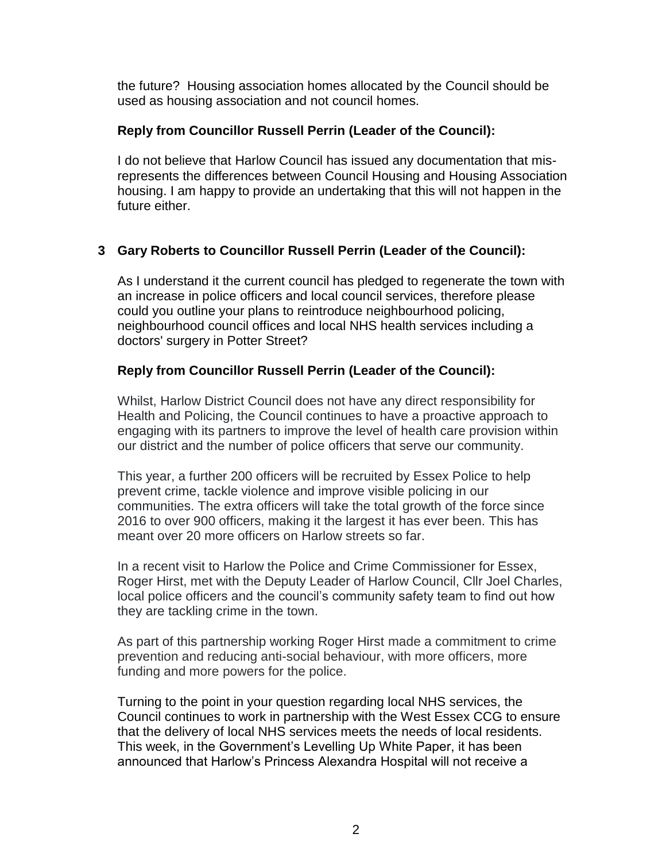the future? Housing association homes allocated by the Council should be used as housing association and not council homes.

## **Reply from Councillor Russell Perrin (Leader of the Council):**

I do not believe that Harlow Council has issued any documentation that misrepresents the differences between Council Housing and Housing Association housing. I am happy to provide an undertaking that this will not happen in the future either.

# **3 Gary Roberts to Councillor Russell Perrin (Leader of the Council):**

As I understand it the current council has pledged to regenerate the town with an increase in police officers and local council services, therefore please could you outline your plans to reintroduce neighbourhood policing, neighbourhood council offices and local NHS health services including a doctors' surgery in Potter Street?

# **Reply from Councillor Russell Perrin (Leader of the Council):**

Whilst, Harlow District Council does not have any direct responsibility for Health and Policing, the Council continues to have a proactive approach to engaging with its partners to improve the level of health care provision within our district and the number of police officers that serve our community.

This year, a further 200 officers will be recruited by Essex Police to help prevent crime, tackle violence and improve visible policing in our communities. The extra officers will take the total growth of the force since 2016 to over 900 officers, making it the largest it has ever been. This has meant over 20 more officers on Harlow streets so far.

In a recent visit to Harlow the Police and Crime Commissioner for Essex, Roger Hirst, met with the Deputy Leader of Harlow Council, Cllr Joel Charles, local police officers and the council's community safety team to find out how they are tackling crime in the town.

As part of this partnership working Roger Hirst made a commitment to crime prevention and reducing anti-social behaviour, with more officers, more funding and more powers for the police.

Turning to the point in your question regarding local NHS services, the Council continues to work in partnership with the West Essex CCG to ensure that the delivery of local NHS services meets the needs of local residents. This week, in the Government's Levelling Up White Paper, it has been announced that Harlow's Princess Alexandra Hospital will not receive a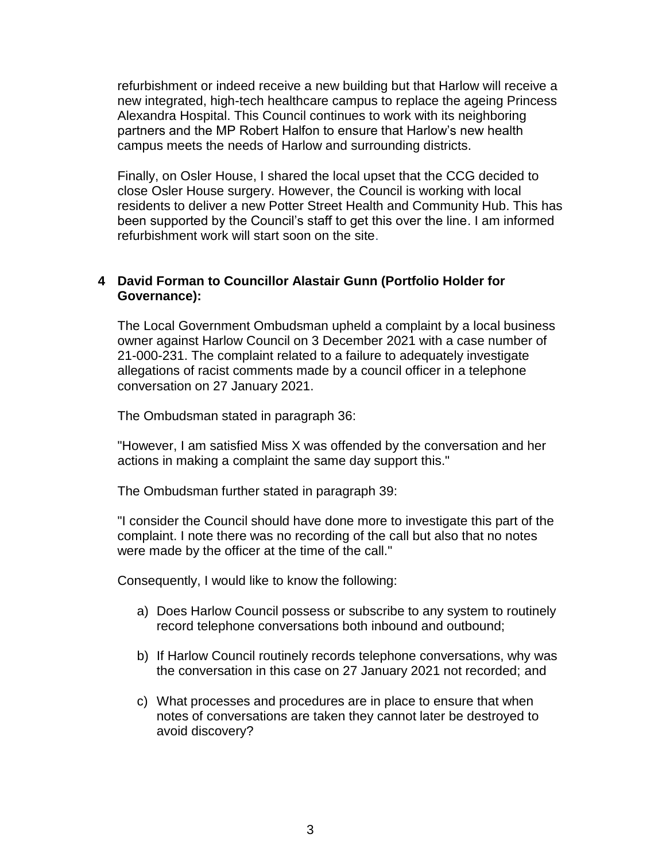refurbishment or indeed receive a new building but that Harlow will receive a new integrated, high-tech healthcare campus to replace the ageing Princess Alexandra Hospital. This Council continues to work with its neighboring partners and the MP Robert Halfon to ensure that Harlow's new health campus meets the needs of Harlow and surrounding districts.

Finally, on Osler House, I shared the local upset that the CCG decided to close Osler House surgery. However, the Council is working with local residents to deliver a new Potter Street Health and Community Hub. This has been supported by the Council's staff to get this over the line. I am informed refurbishment work will start soon on the site.

## **4 David Forman to Councillor Alastair Gunn (Portfolio Holder for Governance):**

The Local Government Ombudsman upheld a complaint by a local business owner against Harlow Council on 3 December 2021 with a case number of 21-000-231. The complaint related to a failure to adequately investigate allegations of racist comments made by a council officer in a telephone conversation on 27 January 2021.

The Ombudsman stated in paragraph 36:

"However, I am satisfied Miss X was offended by the conversation and her actions in making a complaint the same day support this."

The Ombudsman further stated in paragraph 39:

"I consider the Council should have done more to investigate this part of the complaint. I note there was no recording of the call but also that no notes were made by the officer at the time of the call."

Consequently, I would like to know the following:

- a) Does Harlow Council possess or subscribe to any system to routinely record telephone conversations both inbound and outbound;
- b) If Harlow Council routinely records telephone conversations, why was the conversation in this case on 27 January 2021 not recorded; and
- c) What processes and procedures are in place to ensure that when notes of conversations are taken they cannot later be destroyed to avoid discovery?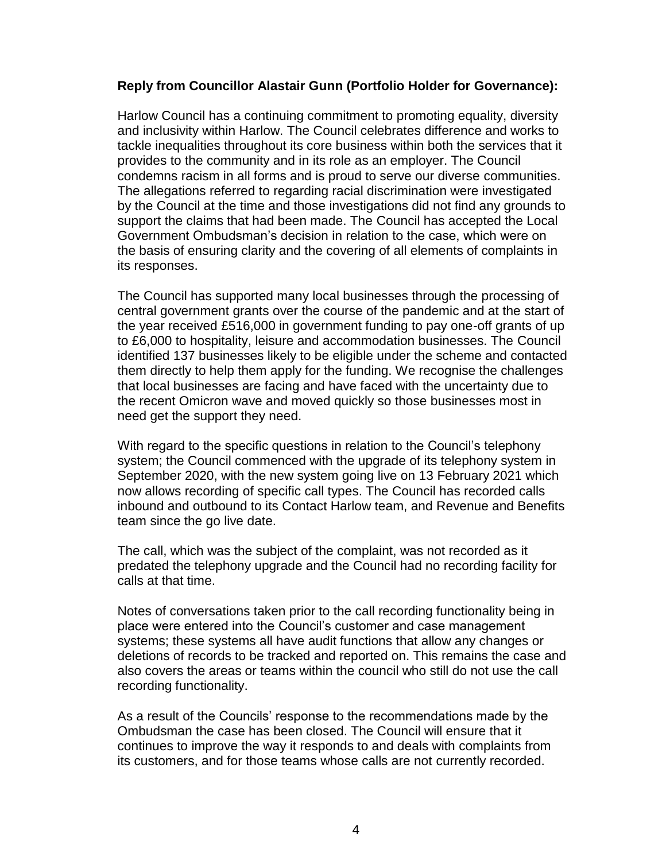## **Reply from Councillor Alastair Gunn (Portfolio Holder for Governance):**

Harlow Council has a continuing commitment to promoting equality, diversity and inclusivity within Harlow. The Council celebrates difference and works to tackle inequalities throughout its core business within both the services that it provides to the community and in its role as an employer. The Council condemns racism in all forms and is proud to serve our diverse communities. The allegations referred to regarding racial discrimination were investigated by the Council at the time and those investigations did not find any grounds to support the claims that had been made. The Council has accepted the Local Government Ombudsman's decision in relation to the case, which were on the basis of ensuring clarity and the covering of all elements of complaints in its responses.

The Council has supported many local businesses through the processing of central government grants over the course of the pandemic and at the start of the year received £516,000 in government funding to pay one-off grants of up to £6,000 to hospitality, leisure and accommodation businesses. The Council identified 137 businesses likely to be eligible under the scheme and contacted them directly to help them apply for the funding. We recognise the challenges that local businesses are facing and have faced with the uncertainty due to the recent Omicron wave and moved quickly so those businesses most in need get the support they need.

With regard to the specific questions in relation to the Council's telephony system; the Council commenced with the upgrade of its telephony system in September 2020, with the new system going live on 13 February 2021 which now allows recording of specific call types. The Council has recorded calls inbound and outbound to its Contact Harlow team, and Revenue and Benefits team since the go live date.

The call, which was the subject of the complaint, was not recorded as it predated the telephony upgrade and the Council had no recording facility for calls at that time.

Notes of conversations taken prior to the call recording functionality being in place were entered into the Council's customer and case management systems; these systems all have audit functions that allow any changes or deletions of records to be tracked and reported on. This remains the case and also covers the areas or teams within the council who still do not use the call recording functionality.

As a result of the Councils' response to the recommendations made by the Ombudsman the case has been closed. The Council will ensure that it continues to improve the way it responds to and deals with complaints from its customers, and for those teams whose calls are not currently recorded.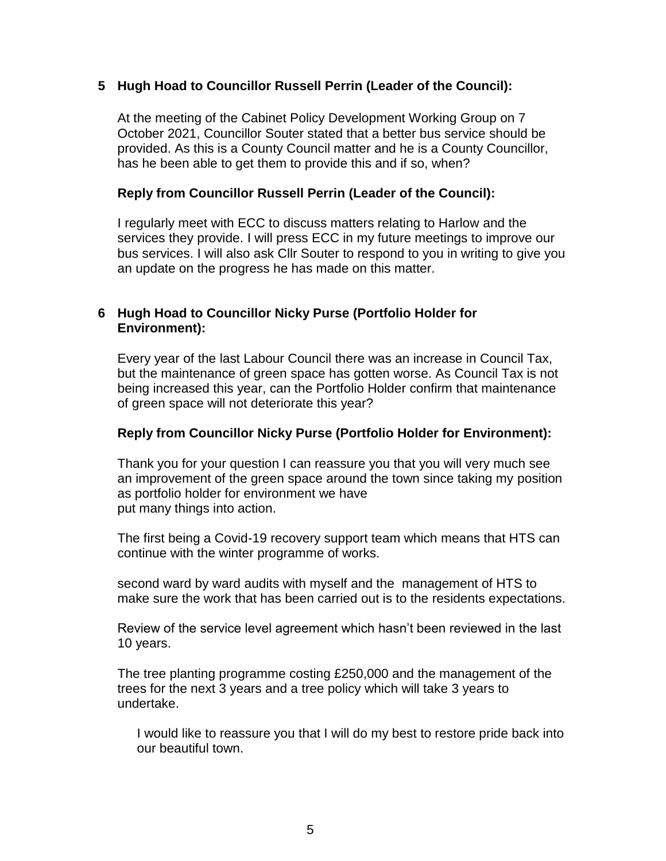## **5 Hugh Hoad to Councillor Russell Perrin (Leader of the Council):**

At the meeting of the Cabinet Policy Development Working Group on 7 October 2021, Councillor Souter stated that a better bus service should be provided. As this is a County Council matter and he is a County Councillor, has he been able to get them to provide this and if so, when?

#### **Reply from Councillor Russell Perrin (Leader of the Council):**

I regularly meet with ECC to discuss matters relating to Harlow and the services they provide. I will press ECC in my future meetings to improve our bus services. I will also ask Cllr Souter to respond to you in writing to give you an update on the progress he has made on this matter.

## **6 Hugh Hoad to Councillor Nicky Purse (Portfolio Holder for Environment):**

Every year of the last Labour Council there was an increase in Council Tax, but the maintenance of green space has gotten worse. As Council Tax is not being increased this year, can the Portfolio Holder confirm that maintenance of green space will not deteriorate this year?

#### **Reply from Councillor Nicky Purse (Portfolio Holder for Environment):**

Thank you for your question I can reassure you that you will very much see an improvement of the green space around the town since taking my position as portfolio holder for environment we have put many things into action.

The first being a Covid-19 recovery support team which means that HTS can continue with the winter programme of works.

second ward by ward audits with myself and the management of HTS to make sure the work that has been carried out is to the residents expectations.

Review of the service level agreement which hasn't been reviewed in the last 10 years.

The tree planting programme costing £250,000 and the management of the trees for the next 3 years and a tree policy which will take 3 years to undertake.

I would like to reassure you that I will do my best to restore pride back into our beautiful town.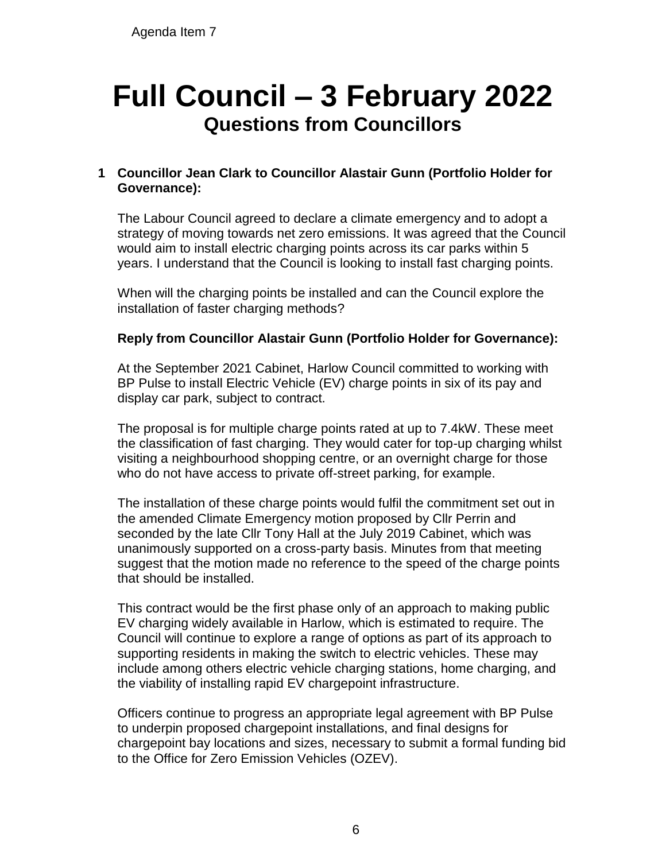# **Full Council – 3 February 2022 Questions from Councillors**

# **1 Councillor Jean Clark to Councillor Alastair Gunn (Portfolio Holder for Governance):**

The Labour Council agreed to declare a climate emergency and to adopt a strategy of moving towards net zero emissions. It was agreed that the Council would aim to install electric charging points across its car parks within 5 years. I understand that the Council is looking to install fast charging points.

When will the charging points be installed and can the Council explore the installation of faster charging methods?

# **Reply from Councillor Alastair Gunn (Portfolio Holder for Governance):**

At the September 2021 Cabinet, Harlow Council committed to working with BP Pulse to install Electric Vehicle (EV) charge points in six of its pay and display car park, subject to contract.

The proposal is for multiple charge points rated at up to 7.4kW. These meet the classification of fast charging. They would cater for top-up charging whilst visiting a neighbourhood shopping centre, or an overnight charge for those who do not have access to private off-street parking, for example.

The installation of these charge points would fulfil the commitment set out in the amended Climate Emergency motion proposed by Cllr Perrin and seconded by the late Cllr Tony Hall at the July 2019 Cabinet, which was unanimously supported on a cross-party basis. Minutes from that meeting suggest that the motion made no reference to the speed of the charge points that should be installed.

This contract would be the first phase only of an approach to making public EV charging widely available in Harlow, which is estimated to require. The Council will continue to explore a range of options as part of its approach to supporting residents in making the switch to electric vehicles. These may include among others electric vehicle charging stations, home charging, and the viability of installing rapid EV chargepoint infrastructure.

Officers continue to progress an appropriate legal agreement with BP Pulse to underpin proposed chargepoint installations, and final designs for chargepoint bay locations and sizes, necessary to submit a formal funding bid to the Office for Zero Emission Vehicles (OZEV).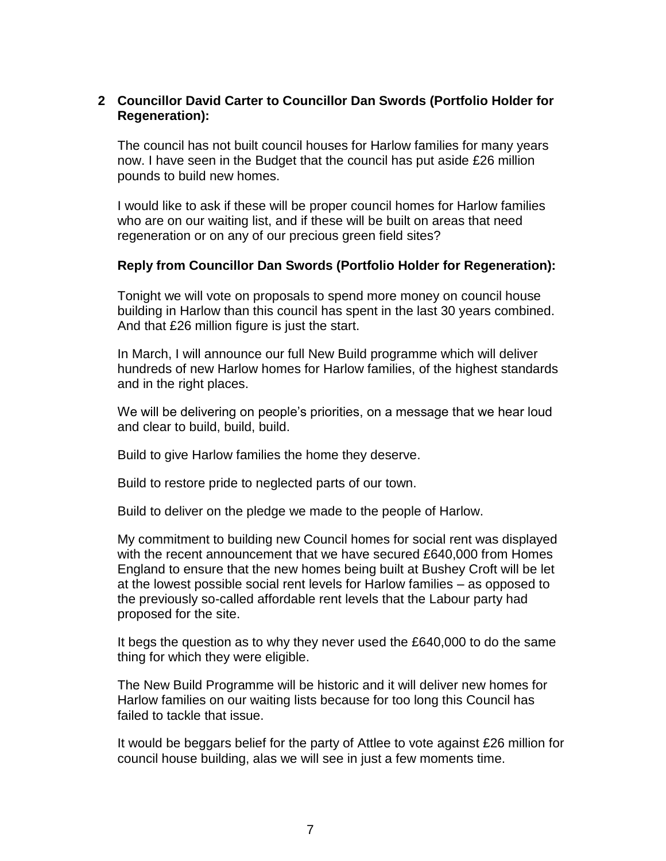## **2 Councillor David Carter to Councillor Dan Swords (Portfolio Holder for Regeneration):**

The council has not built council houses for Harlow families for many years now. I have seen in the Budget that the council has put aside £26 million pounds to build new homes.

I would like to ask if these will be proper council homes for Harlow families who are on our waiting list, and if these will be built on areas that need regeneration or on any of our precious green field sites?

## **Reply from Councillor Dan Swords (Portfolio Holder for Regeneration):**

Tonight we will vote on proposals to spend more money on council house building in Harlow than this council has spent in the last 30 years combined. And that £26 million figure is just the start.

In March, I will announce our full New Build programme which will deliver hundreds of new Harlow homes for Harlow families, of the highest standards and in the right places.

We will be delivering on people's priorities, on a message that we hear loud and clear to build, build, build.

Build to give Harlow families the home they deserve.

Build to restore pride to neglected parts of our town.

Build to deliver on the pledge we made to the people of Harlow.

My commitment to building new Council homes for social rent was displayed with the recent announcement that we have secured £640,000 from Homes England to ensure that the new homes being built at Bushey Croft will be let at the lowest possible social rent levels for Harlow families – as opposed to the previously so-called affordable rent levels that the Labour party had proposed for the site.

It begs the question as to why they never used the £640,000 to do the same thing for which they were eligible.

The New Build Programme will be historic and it will deliver new homes for Harlow families on our waiting lists because for too long this Council has failed to tackle that issue.

It would be beggars belief for the party of Attlee to vote against £26 million for council house building, alas we will see in just a few moments time.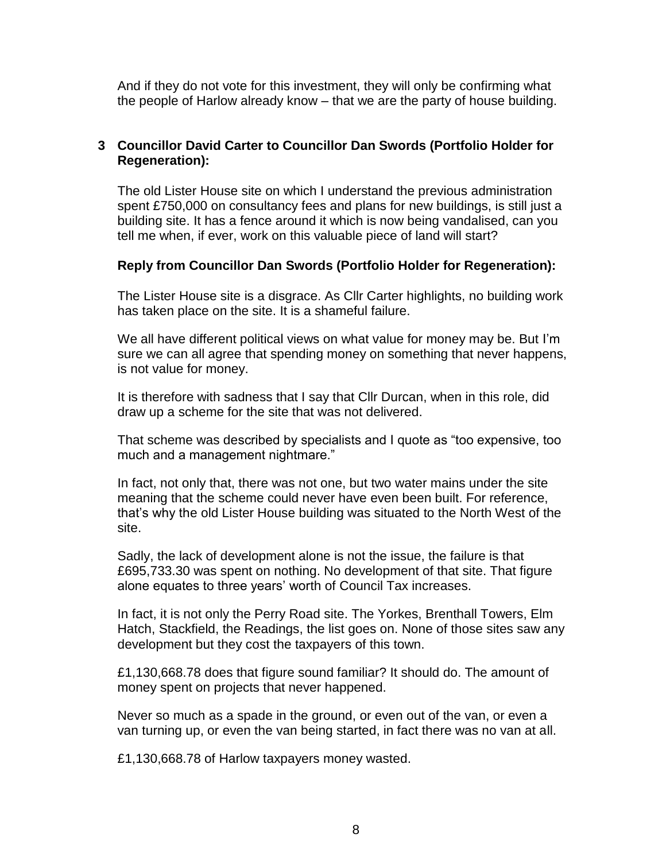And if they do not vote for this investment, they will only be confirming what the people of Harlow already know – that we are the party of house building.

# **3 Councillor David Carter to Councillor Dan Swords (Portfolio Holder for Regeneration):**

The old Lister House site on which I understand the previous administration spent £750,000 on consultancy fees and plans for new buildings, is still just a building site. It has a fence around it which is now being vandalised, can you tell me when, if ever, work on this valuable piece of land will start?

## **Reply from Councillor Dan Swords (Portfolio Holder for Regeneration):**

The Lister House site is a disgrace. As Cllr Carter highlights, no building work has taken place on the site. It is a shameful failure.

We all have different political views on what value for money may be. But I'm sure we can all agree that spending money on something that never happens, is not value for money.

It is therefore with sadness that I say that Cllr Durcan, when in this role, did draw up a scheme for the site that was not delivered.

That scheme was described by specialists and I quote as "too expensive, too much and a management nightmare."

In fact, not only that, there was not one, but two water mains under the site meaning that the scheme could never have even been built. For reference, that's why the old Lister House building was situated to the North West of the site.

Sadly, the lack of development alone is not the issue, the failure is that £695,733.30 was spent on nothing. No development of that site. That figure alone equates to three years' worth of Council Tax increases.

In fact, it is not only the Perry Road site. The Yorkes, Brenthall Towers, Elm Hatch, Stackfield, the Readings, the list goes on. None of those sites saw any development but they cost the taxpayers of this town.

£1,130,668.78 does that figure sound familiar? It should do. The amount of money spent on projects that never happened.

Never so much as a spade in the ground, or even out of the van, or even a van turning up, or even the van being started, in fact there was no van at all.

£1,130,668.78 of Harlow taxpayers money wasted.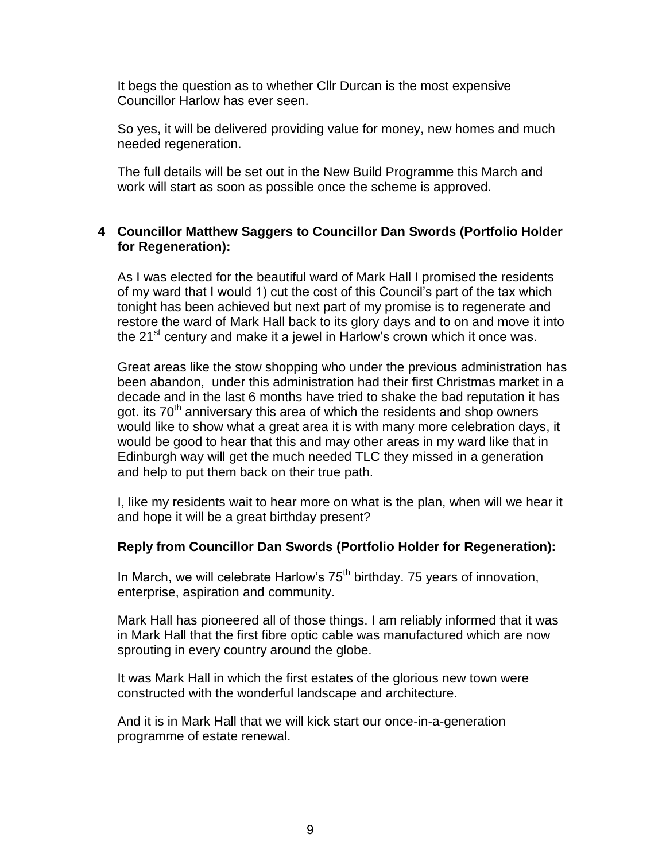It begs the question as to whether Cllr Durcan is the most expensive Councillor Harlow has ever seen.

So yes, it will be delivered providing value for money, new homes and much needed regeneration.

The full details will be set out in the New Build Programme this March and work will start as soon as possible once the scheme is approved.

### **4 Councillor Matthew Saggers to Councillor Dan Swords (Portfolio Holder for Regeneration):**

As I was elected for the beautiful ward of Mark Hall I promised the residents of my ward that I would 1) cut the cost of this Council's part of the tax which tonight has been achieved but next part of my promise is to regenerate and restore the ward of Mark Hall back to its glory days and to on and move it into the 21<sup>st</sup> century and make it a jewel in Harlow's crown which it once was.

Great areas like the stow shopping who under the previous administration has been abandon, under this administration had their first Christmas market in a decade and in the last 6 months have tried to shake the bad reputation it has got. its 70<sup>th</sup> anniversary this area of which the residents and shop owners would like to show what a great area it is with many more celebration days, it would be good to hear that this and may other areas in my ward like that in Edinburgh way will get the much needed TLC they missed in a generation and help to put them back on their true path.

I, like my residents wait to hear more on what is the plan, when will we hear it and hope it will be a great birthday present?

## **Reply from Councillor Dan Swords (Portfolio Holder for Regeneration):**

In March, we will celebrate Harlow's  $75<sup>th</sup>$  birthday. 75 years of innovation, enterprise, aspiration and community.

Mark Hall has pioneered all of those things. I am reliably informed that it was in Mark Hall that the first fibre optic cable was manufactured which are now sprouting in every country around the globe.

It was Mark Hall in which the first estates of the glorious new town were constructed with the wonderful landscape and architecture.

And it is in Mark Hall that we will kick start our once-in-a-generation programme of estate renewal.